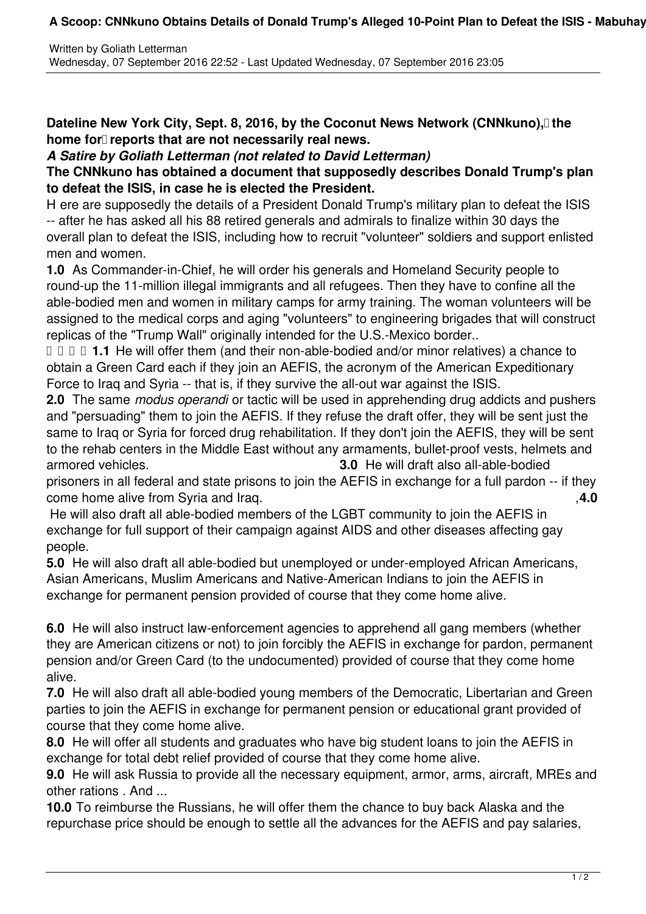## A Scoop: CNNkuno Obtains Details of Donald Trump's Alleged 10-Point Plan to Defeat the ISIS - Mabuhay

**Dateline New York City, Sept. 8, 2016, by the Coconut News Network (CNNkuno), the** home for reports that are not necessarily real news.

*A Satire by Goliath Letterman (not related to David Letterman)*

## **The CNNkuno has obtained a document that supposedly describes Donald Trump's plan to defeat the ISIS, in case he is elected the President.**

H ere are supposedly the details of a President Donald Trump's military plan to defeat the ISIS -- after he has asked all his 88 retired generals and admirals to finalize within 30 days the overall plan to defeat the ISIS, including how to recruit "volunteer" soldiers and support enlisted men and women.

**1.0** As Commander-in-Chief, he will order his generals and Homeland Security people to round-up the 11-million illegal immigrants and all refugees. Then they have to confine all the able-bodied men and women in military camps for army training. The woman volunteers will be assigned to the medical corps and aging "volunteers" to engineering brigades that will construct replicas of the "Trump Wall" originally intended for the U.S.-Mexico border..

*D D D D D D D D D D D D D D D D D D D D D D D D D D D D D D D D D D D D D* obtain a Green Card each if they join an AEFIS, the acronym of the American Expeditionary Force to Iraq and Syria -- that is, if they survive the all-out war against the ISIS.

**2.0** The same *modus operandi* or tactic will be used in apprehending drug addicts and pushers and "persuading" them to join the AEFIS. If they refuse the draft offer, they will be sent just the same to Iraq or Syria for forced drug rehabilitation. If they don't join the AEFIS, they will be sent to the rehab centers in the Middle East without any armaments, bullet-proof vests, helmets and armored vehicles. **3.0** He will draft also all-able-bodied

prisoners in all federal and state prisons to join the AEFIS in exchange for a full pardon -- if they come home alive from Syria and Iraq. ,**4.0**

 He will also draft all able-bodied members of the LGBT community to join the AEFIS in exchange for full support of their campaign against AIDS and other diseases affecting gay people.

**5.0** He will also draft all able-bodied but unemployed or under-employed African Americans, Asian Americans, Muslim Americans and Native-American Indians to join the AEFIS in exchange for permanent pension provided of course that they come home alive.

**6.0** He will also instruct law-enforcement agencies to apprehend all gang members (whether they are American citizens or not) to join forcibly the AEFIS in exchange for pardon, permanent pension and/or Green Card (to the undocumented) provided of course that they come home alive.

**7.0** He will also draft all able-bodied young members of the Democratic, Libertarian and Green parties to join the AEFIS in exchange for permanent pension or educational grant provided of course that they come home alive.

**8.0** He will offer all students and graduates who have big student loans to join the AEFIS in exchange for total debt relief provided of course that they come home alive.

**9.0** He will ask Russia to provide all the necessary equipment, armor, arms, aircraft, MREs and other rations . And ...

**10.0** To reimburse the Russians, he will offer them the chance to buy back Alaska and the repurchase price should be enough to settle all the advances for the AEFIS and pay salaries,